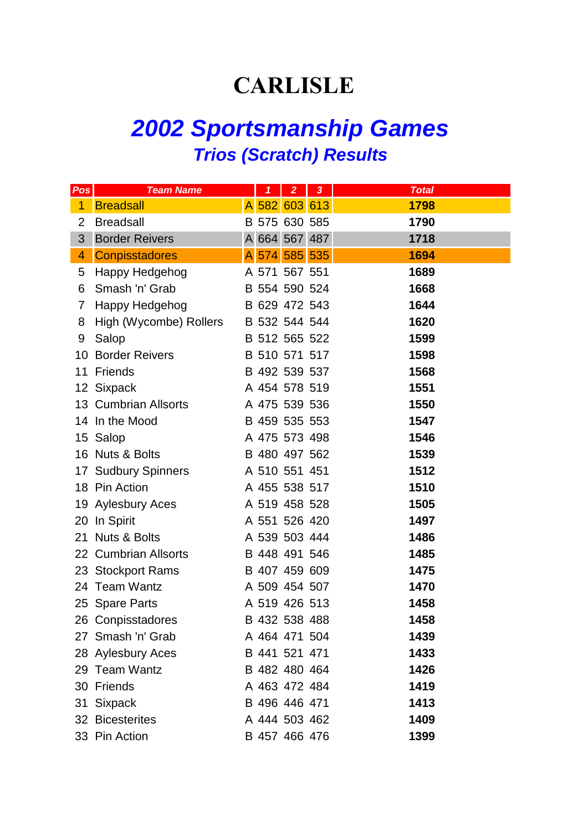## **CARLISLE**

## *2002 Sportsmanship Games Trios (Scratch) Results*

| Pos | <b>Team Name</b>       | $\overline{\mathbf{1}}$ | $\overline{2}$ | $\overline{\mathbf{3}}$ | <b>Total</b> |
|-----|------------------------|-------------------------|----------------|-------------------------|--------------|
| 1   | <b>Breadsall</b>       | A 582 603 613           |                |                         | 1798         |
| 2   | <b>Breadsall</b>       | B 575 630 585           |                |                         | 1790         |
| 3   | <b>Border Reivers</b>  | A 664 567 487           |                |                         | 1718         |
| 4   | <b>Conpisstadores</b>  | A 574 585 535           |                |                         | 1694         |
| 5   | Happy Hedgehog         | A 571 567 551           |                |                         | 1689         |
| 6   | Smash 'n' Grab         | B 554 590 524           |                |                         | 1668         |
| 7   | Happy Hedgehog         | B 629 472 543           |                |                         | 1644         |
| 8   | High (Wycombe) Rollers | B 532 544 544           |                |                         | 1620         |
| 9   | Salop                  | B 512 565 522           |                |                         | 1599         |
|     | 10 Border Reivers      | B 510 571 517           |                |                         | 1598         |
|     | 11 Friends             | B 492 539 537           |                |                         | 1568         |
|     | 12 Sixpack             | A 454 578 519           |                |                         | 1551         |
|     | 13 Cumbrian Allsorts   | A 475 539 536           |                |                         | 1550         |
|     | 14 In the Mood         | B 459 535 553           |                |                         | 1547         |
|     | 15 Salop               | A 475 573 498           |                |                         | 1546         |
|     | 16 Nuts & Bolts        | B 480 497 562           |                |                         | 1539         |
|     | 17 Sudbury Spinners    | A 510 551 451           |                |                         | 1512         |
|     | 18 Pin Action          | A 455 538 517           |                |                         | 1510         |
|     | 19 Aylesbury Aces      | A 519 458 528           |                |                         | 1505         |
|     | 20 In Spirit           | A 551 526 420           |                |                         | 1497         |
|     | 21 Nuts & Bolts        | A 539 503 444           |                |                         | 1486         |
|     | 22 Cumbrian Allsorts   | B 448 491 546           |                |                         | 1485         |
|     | 23 Stockport Rams      | B 407 459 609           |                |                         | 1475         |
|     | 24 Team Wantz          | A 509 454 507           |                |                         | 1470         |
|     | 25 Spare Parts         | A 519 426 513           |                |                         | 1458         |
|     | 26 Conpisstadores      | B 432 538 488           |                |                         | 1458         |
|     | 27 Smash 'n' Grab      | A 464 471 504           |                |                         | 1439         |
|     | 28 Aylesbury Aces      | B 441 521 471           |                |                         | 1433         |
|     | 29 Team Wantz          | B 482 480 464           |                |                         | 1426         |
|     | 30 Friends             | A 463 472 484           |                |                         | 1419         |
|     | 31 Sixpack             | B 496 446 471           |                |                         | 1413         |
|     | 32 Bicesterites        | A 444 503 462           |                |                         | 1409         |
|     | 33 Pin Action          | B 457 466 476           |                |                         | 1399         |